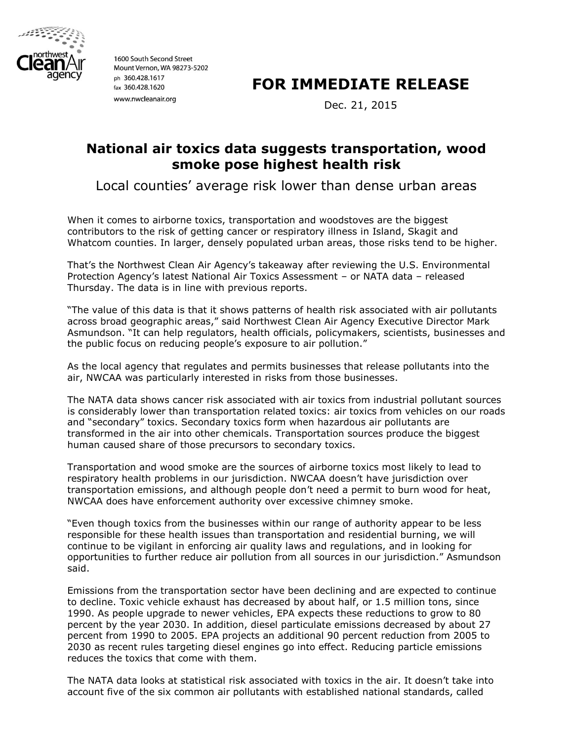

1600 South Second Street Mount Vernon, WA 98273-5202 ph 360.428.1617 fax 360.428.1620 www.nwcleanair.org

## **FOR IMMEDIATE RELEASE**

Dec. 21, 2015

## **National air toxics data suggests transportation, wood smoke pose highest health risk**

Local counties' average risk lower than dense urban areas

When it comes to airborne toxics, transportation and woodstoves are the biggest contributors to the risk of getting cancer or respiratory illness in Island, Skagit and Whatcom counties. In larger, densely populated urban areas, those risks tend to be higher.

That's the Northwest Clean Air Agency's takeaway after reviewing the U.S. Environmental Protection Agency's latest National Air Toxics Assessment – or NATA data – released Thursday. The data is in line with previous reports.

"The value of this data is that it shows patterns of health risk associated with air pollutants across broad geographic areas," said Northwest Clean Air Agency Executive Director Mark Asmundson. "It can help regulators, health officials, policymakers, scientists, businesses and the public focus on reducing people's exposure to air pollution."

As the local agency that regulates and permits businesses that release pollutants into the air, NWCAA was particularly interested in risks from those businesses.

The NATA data shows cancer risk associated with air toxics from industrial pollutant sources is considerably lower than transportation related toxics: air toxics from vehicles on our roads and "secondary" toxics. Secondary toxics form when hazardous air pollutants are transformed in the air into other chemicals. Transportation sources produce the biggest human caused share of those precursors to secondary toxics.

Transportation and wood smoke are the sources of airborne toxics most likely to lead to respiratory health problems in our jurisdiction. NWCAA doesn't have jurisdiction over transportation emissions, and although people don't need a permit to burn wood for heat, NWCAA does have enforcement authority over excessive chimney smoke.

"Even though toxics from the businesses within our range of authority appear to be less responsible for these health issues than transportation and residential burning, we will continue to be vigilant in enforcing air quality laws and regulations, and in looking for opportunities to further reduce air pollution from all sources in our jurisdiction." Asmundson said.

Emissions from the transportation sector have been declining and are expected to continue to decline. Toxic vehicle exhaust has decreased by about half, or 1.5 million tons, since 1990. As people upgrade to newer vehicles, EPA expects these reductions to grow to 80 percent by the year 2030. In addition, diesel particulate emissions decreased by about 27 percent from 1990 to 2005. EPA projects an additional 90 percent reduction from 2005 to 2030 as recent rules targeting diesel engines go into effect. Reducing particle emissions reduces the toxics that come with them.

The NATA data looks at statistical risk associated with toxics in the air. It doesn't take into account five of the six common air pollutants with established national standards, called